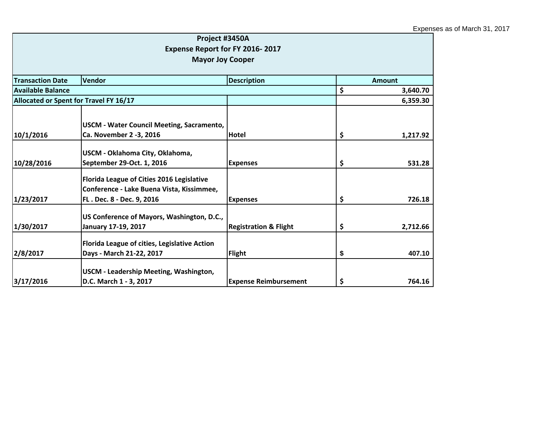|                                        | Project #3450A                                                          |                                  |                |
|----------------------------------------|-------------------------------------------------------------------------|----------------------------------|----------------|
|                                        | Expense Report for FY 2016-2017                                         |                                  |                |
|                                        | <b>Mayor Joy Cooper</b>                                                 |                                  |                |
| <b>Transaction Date</b>                | Vendor                                                                  | <b>Description</b>               | <b>Amount</b>  |
| Available Balance                      |                                                                         |                                  | \$<br>3,640.70 |
| Allocated or Spent for Travel FY 16/17 |                                                                         |                                  | 6,359.30       |
|                                        |                                                                         |                                  |                |
|                                        | <b>USCM - Water Council Meeting, Sacramento,</b>                        |                                  |                |
| 10/1/2016                              | Ca. November 2 -3, 2016                                                 | <b>Hotel</b>                     | \$<br>1,217.92 |
|                                        | USCM - Oklahoma City, Oklahoma,                                         |                                  |                |
| 10/28/2016                             | September 29-Oct. 1, 2016                                               | <b>Expenses</b>                  | \$<br>531.28   |
|                                        | Florida League of Cities 2016 Legislative                               |                                  |                |
|                                        | Conference - Lake Buena Vista, Kissimmee,                               |                                  |                |
| 1/23/2017                              | FL. Dec. 8 - Dec. 9, 2016                                               | <b>Expenses</b>                  | \$<br>726.18   |
|                                        | US Conference of Mayors, Washington, D.C.,                              |                                  |                |
| 1/30/2017                              | January 17-19, 2017                                                     | <b>Registration &amp; Flight</b> | \$<br>2,712.66 |
|                                        | Florida League of cities, Legislative Action                            |                                  |                |
| 2/8/2017                               | Days - March 21-22, 2017                                                | <b>Flight</b>                    | \$<br>407.10   |
|                                        |                                                                         |                                  |                |
| 3/17/2016                              | <b>USCM - Leadership Meeting, Washington,</b><br>D.C. March 1 - 3, 2017 | <b>Expense Reimbursement</b>     | \$<br>764.16   |
|                                        |                                                                         |                                  |                |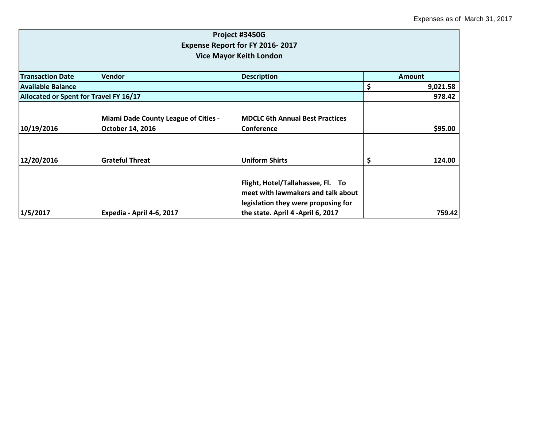|                                                                   |                                                                 | Project #3450G                                                                                                                                      |    |               |  |
|-------------------------------------------------------------------|-----------------------------------------------------------------|-----------------------------------------------------------------------------------------------------------------------------------------------------|----|---------------|--|
| Expense Report for FY 2016-2017<br><b>Vice Mayor Keith London</b> |                                                                 |                                                                                                                                                     |    |               |  |
|                                                                   |                                                                 |                                                                                                                                                     |    |               |  |
| <b>Transaction Date</b>                                           | Vendor                                                          | <b>Description</b>                                                                                                                                  |    | <b>Amount</b> |  |
| <b>Available Balance</b>                                          |                                                                 |                                                                                                                                                     | \$ | 9,021.58      |  |
| Allocated or Spent for Travel FY 16/17                            |                                                                 |                                                                                                                                                     |    | 978.42        |  |
| 10/19/2016                                                        | <b>Miami Dade County League of Cities -</b><br>October 14, 2016 | <b>MDCLC 6th Annual Best Practices</b><br><b>Conference</b>                                                                                         |    | \$95.00       |  |
| 12/20/2016                                                        | <b>Grateful Threat</b>                                          | <b>Uniform Shirts</b>                                                                                                                               | S  | 124.00        |  |
| 1/5/2017                                                          | Expedia - April 4-6, 2017                                       | Flight, Hotel/Tallahassee, Fl. To<br>meet with lawmakers and talk about<br>legislation they were proposing for<br>the state. April 4 -April 6, 2017 |    | 759.42        |  |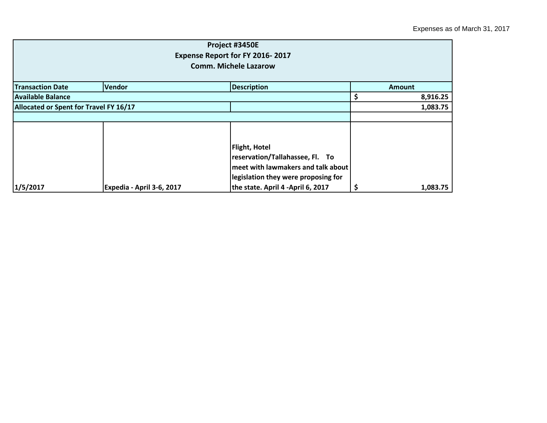|                                        |                           | Project #3450E                                                                                                                       |                |
|----------------------------------------|---------------------------|--------------------------------------------------------------------------------------------------------------------------------------|----------------|
|                                        |                           | Expense Report for FY 2016-2017                                                                                                      |                |
|                                        |                           | <b>Comm. Michele Lazarow</b>                                                                                                         |                |
| <b>Transaction Date</b>                | <b>Vendor</b>             | <b>Description</b>                                                                                                                   | <b>Amount</b>  |
| <b>Available Balance</b>               |                           |                                                                                                                                      | 8,916.25<br>\$ |
| Allocated or Spent for Travel FY 16/17 |                           |                                                                                                                                      | 1,083.75       |
|                                        |                           |                                                                                                                                      |                |
|                                        |                           |                                                                                                                                      |                |
|                                        |                           | <b>Flight, Hotel</b><br>reservation/Tallahassee, Fl. To<br>meet with lawmakers and talk about<br>legislation they were proposing for |                |
| 1/5/2017                               | Expedia - April 3-6, 2017 | the state. April 4 -April 6, 2017                                                                                                    | 1,083.75       |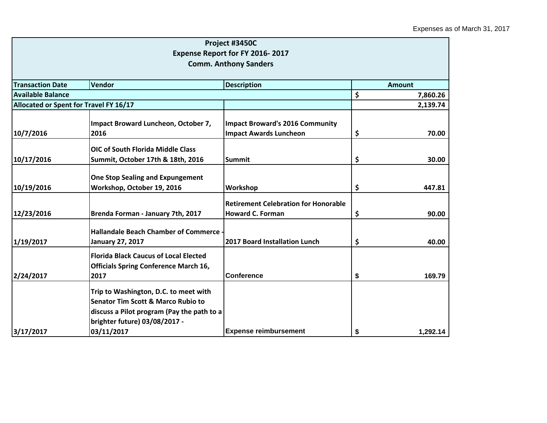|                                        |                                                                                                                                                                       | Project #3450C                              |    |               |  |
|----------------------------------------|-----------------------------------------------------------------------------------------------------------------------------------------------------------------------|---------------------------------------------|----|---------------|--|
|                                        |                                                                                                                                                                       | Expense Report for FY 2016-2017             |    |               |  |
|                                        |                                                                                                                                                                       | <b>Comm. Anthony Sanders</b>                |    |               |  |
|                                        |                                                                                                                                                                       |                                             |    | <b>Amount</b> |  |
|                                        | <b>Transaction Date</b><br>Vendor<br><b>Description</b>                                                                                                               |                                             |    |               |  |
| Available Balance                      |                                                                                                                                                                       |                                             | \$ | 7,860.26      |  |
| Allocated or Spent for Travel FY 16/17 |                                                                                                                                                                       |                                             |    | 2,139.74      |  |
|                                        | Impact Broward Luncheon, October 7,                                                                                                                                   | <b>Impact Broward's 2016 Community</b>      |    |               |  |
| 10/7/2016                              | 2016                                                                                                                                                                  | <b>Impact Awards Luncheon</b>               | \$ | 70.00         |  |
|                                        | <b>OIC of South Florida Middle Class</b>                                                                                                                              |                                             |    |               |  |
| 10/17/2016                             | Summit, October 17th & 18th, 2016                                                                                                                                     | <b>Summit</b>                               | \$ | 30.00         |  |
|                                        | <b>One Stop Sealing and Expungement</b>                                                                                                                               |                                             |    |               |  |
| 10/19/2016                             | Workshop, October 19, 2016                                                                                                                                            | Workshop                                    | \$ | 447.81        |  |
|                                        |                                                                                                                                                                       | <b>Retirement Celebration for Honorable</b> |    |               |  |
| 12/23/2016                             | Brenda Forman - January 7th, 2017                                                                                                                                     | <b>Howard C. Forman</b>                     | \$ | 90.00         |  |
| 1/19/2017                              | <b>Hallandale Beach Chamber of Commerce</b><br>January 27, 2017                                                                                                       | 2017 Board Installation Lunch               | \$ | 40.00         |  |
|                                        | <b>Florida Black Caucus of Local Elected</b><br><b>Officials Spring Conference March 16,</b>                                                                          |                                             |    |               |  |
| 2/24/2017                              | 2017                                                                                                                                                                  | <b>Conference</b>                           | \$ | 169.79        |  |
|                                        | Trip to Washington, D.C. to meet with<br><b>Senator Tim Scott &amp; Marco Rubio to</b><br>discuss a Pilot program (Pay the path to a<br>brighter future) 03/08/2017 - |                                             |    |               |  |
| 3/17/2017                              | 03/11/2017                                                                                                                                                            | <b>Expense reimbursement</b>                | \$ | 1,292.14      |  |